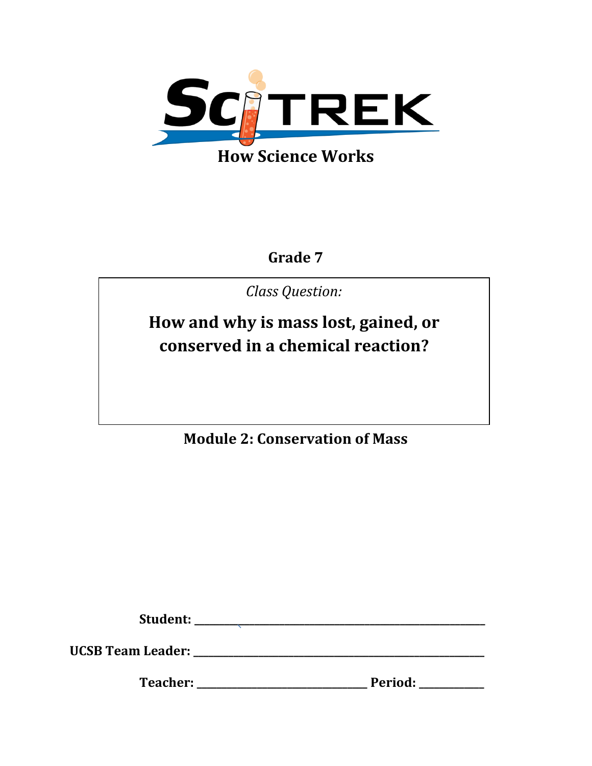

**Grade 7**

*Class Question:*

**How and why is mass lost, gained, or conserved in a chemical reaction?**

**Module 2: Conservation of Mass**

**Student: \_\_\_\_\_\_\_\_\_\_\_\_\_\_\_\_\_\_\_\_\_\_\_\_\_\_\_\_\_\_\_\_\_\_\_\_\_\_\_\_\_\_\_\_\_\_\_\_\_\_\_\_\_\_\_\_\_\_**

**UCSB Team Leader: \_\_\_\_\_\_\_\_\_\_\_\_\_\_\_\_\_\_\_\_\_\_\_\_\_\_\_\_\_\_\_\_\_\_\_\_\_\_\_\_\_\_\_\_\_\_\_\_\_\_\_\_\_\_\_\_\_\_**

**Teacher: \_\_\_\_\_\_\_\_\_\_\_\_\_\_\_\_\_\_\_\_\_\_\_\_\_\_\_\_\_\_\_\_\_\_ Period: \_\_\_\_\_\_\_\_\_\_\_\_\_**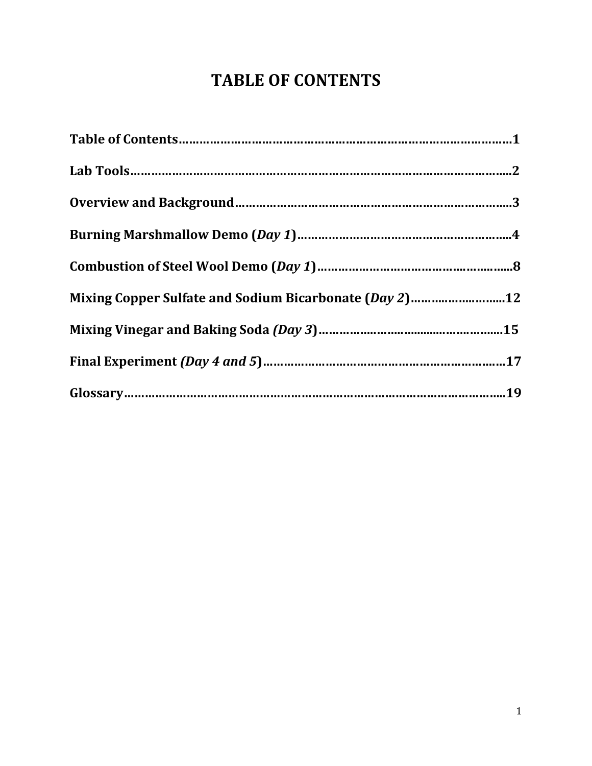# **TABLE OF CONTENTS**

| Mixing Copper Sulfate and Sodium Bicarbonate (Day 2)12 |  |
|--------------------------------------------------------|--|
|                                                        |  |
|                                                        |  |
|                                                        |  |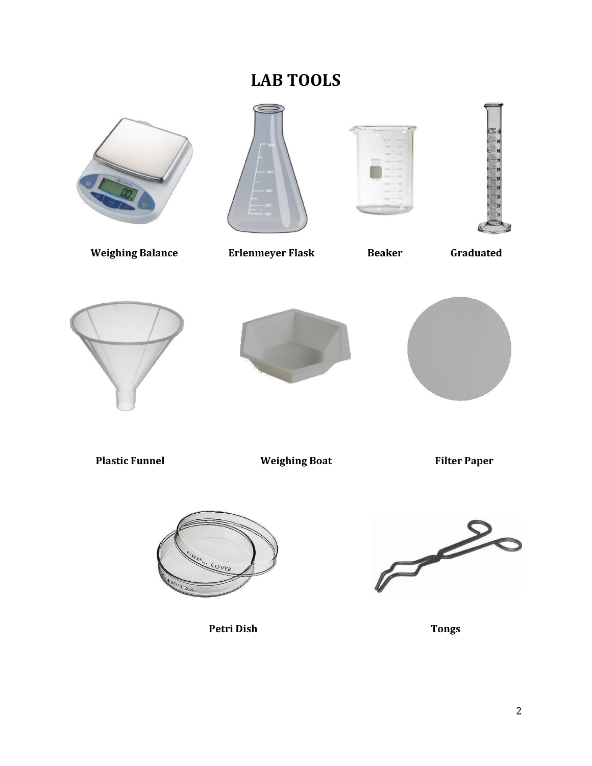# **LAB TOOLS**



**Weighing Balance Erlenmeyer Flask Beaker Graduated** 













**Plastic Funnel Weighing Boat Filter Paper** 



**Petri Dish Tongs**

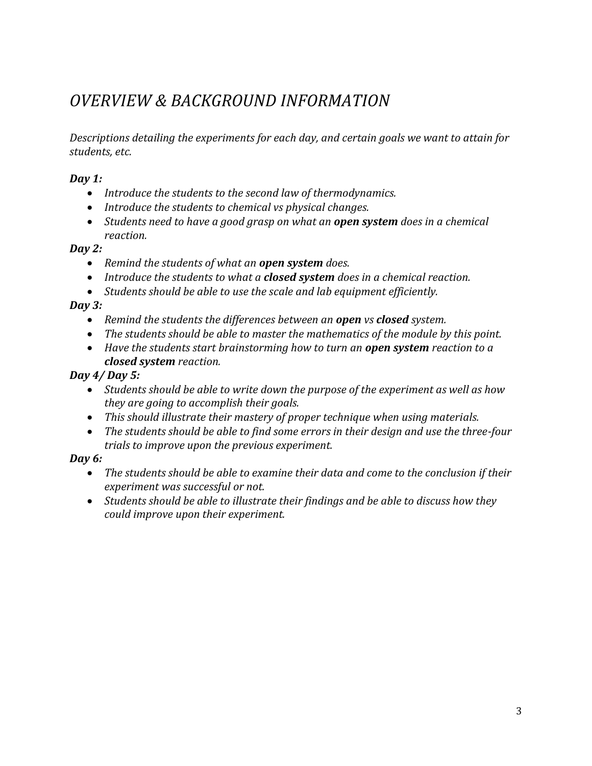# *OVERVIEW & BACKGROUND INFORMATION*

*Descriptions detailing the experiments for each day, and certain goals we want to attain for students, etc.*

#### *Day 1:*

- *Introduce the students to the second law of thermodynamics.*
- *Introduce the students to chemical vs physical changes.*
- *Students need to have a good grasp on what an open system does in a chemical reaction.*

#### *Day 2:*

- *Remind the students of what an open system does.*
- *Introduce the students to what a closed system does in a chemical reaction.*
- *Students should be able to use the scale and lab equipment efficiently.*

## *Day 3:*

- *Remind the students the differences between an open vs closed system.*
- *The students should be able to master the mathematics of the module by this point.*
- Have the students start brainstorming how to turn an **open system** reaction to a *closed system reaction.*

## *Day 4/ Day 5:*

- *Students should be able to write down the purpose of the experiment as well as how they are going to accomplish their goals.*
- *This should illustrate their mastery of proper technique when using materials.*
- *The students should be able to find some errors in their design and use the three-four trials to improve upon the previous experiment.*

## *Day 6:*

- *The students should be able to examine their data and come to the conclusion if their experiment was successful or not.*
- *Students should be able to illustrate their findings and be able to discuss how they could improve upon their experiment.*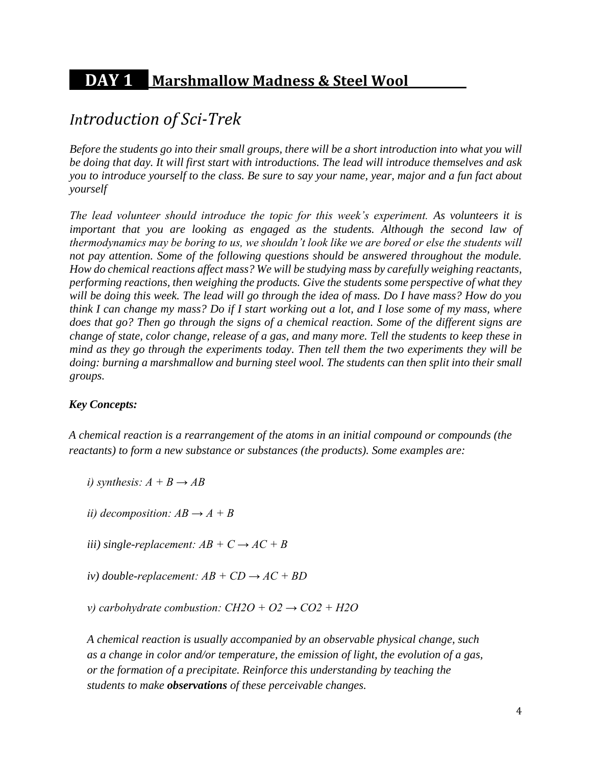# **DAY 1 Marshmallow Madness & Steel Wool .**

## *Introduction of Sci-Trek*

*Before the students go into their small groups, there will be a short introduction into what you will be doing that day. It will first start with introductions. The lead will introduce themselves and ask you to introduce yourself to the class. Be sure to say your name, year, major and a fun fact about yourself*

*The lead volunteer should introduce the topic for this week's experiment. As volunteers it is important that you are looking as engaged as the students. Although the second law of thermodynamics may be boring to us, we shouldn't look like we are bored or else the students will not pay attention. Some of the following questions should be answered throughout the module. How do chemical reactions affect mass? We will be studying mass by carefully weighing reactants, performing reactions, then weighing the products. Give the students some perspective of what they will be doing this week. The lead will go through the idea of mass. Do I have mass? How do you think I can change my mass? Do if I start working out a lot, and I lose some of my mass, where does that go? Then go through the signs of a chemical reaction. Some of the different signs are change of state, color change, release of a gas, and many more. Tell the students to keep these in mind as they go through the experiments today. Then tell them the two experiments they will be doing: burning a marshmallow and burning steel wool. The students can then split into their small groups.* 

#### *Key Concepts:*

*A chemical reaction is a rearrangement of the atoms in an initial compound or compounds (the reactants) to form a new substance or substances (the products). Some examples are:* 

*i)* synthesis:  $A + B \rightarrow AB$ 

*ii)* decomposition:  $AB \rightarrow A + B$ 

*iii*) single-replacement:  $AB + C \rightarrow AC + B$ 

 $iv)$  *double-replacement: AB + CD*  $\rightarrow$  *AC + BD* 

*v*) carbohydrate combustion:  $CH2O + O2 \rightarrow CO2 + H2O$ 

*A chemical reaction is usually accompanied by an observable physical change, such as a change in color and/or temperature, the emission of light, the evolution of a gas, or the formation of a precipitate. Reinforce this understanding by teaching the students to make observations of these perceivable changes.*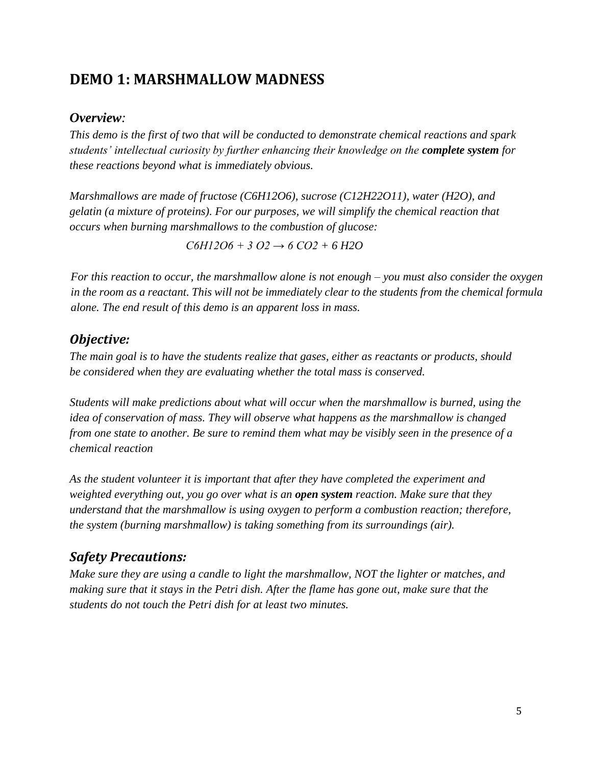## **DEMO 1: MARSHMALLOW MADNESS**

### *Overview:*

*This demo is the first of two that will be conducted to demonstrate chemical reactions and spark students' intellectual curiosity by further enhancing their knowledge on the complete system for these reactions beyond what is immediately obvious.* 

*Marshmallows are made of fructose (C6H12O6), sucrose (C12H22O11), water (H2O), and gelatin (a mixture of proteins). For our purposes, we will simplify the chemical reaction that occurs when burning marshmallows to the combustion of glucose:* 

*C6H12O6 + 3 O2 → 6 CO2 + 6 H2O* 

*For this reaction to occur, the marshmallow alone is not enough – you must also consider the oxygen in the room as a reactant. This will not be immediately clear to the students from the chemical formula alone. The end result of this demo is an apparent loss in mass.* 

## *Objective:*

*The main goal is to have the students realize that gases, either as reactants or products, should be considered when they are evaluating whether the total mass is conserved.* 

*Students will make predictions about what will occur when the marshmallow is burned, using the idea of conservation of mass. They will observe what happens as the marshmallow is changed from one state to another. Be sure to remind them what may be visibly seen in the presence of a chemical reaction*

*As the student volunteer it is important that after they have completed the experiment and weighted everything out, you go over what is an open system reaction. Make sure that they understand that the marshmallow is using oxygen to perform a combustion reaction; therefore, the system (burning marshmallow) is taking something from its surroundings (air).*

## *Safety Precautions:*

*Make sure they are using a candle to light the marshmallow, NOT the lighter or matches, and making sure that it stays in the Petri dish. After the flame has gone out, make sure that the students do not touch the Petri dish for at least two minutes.*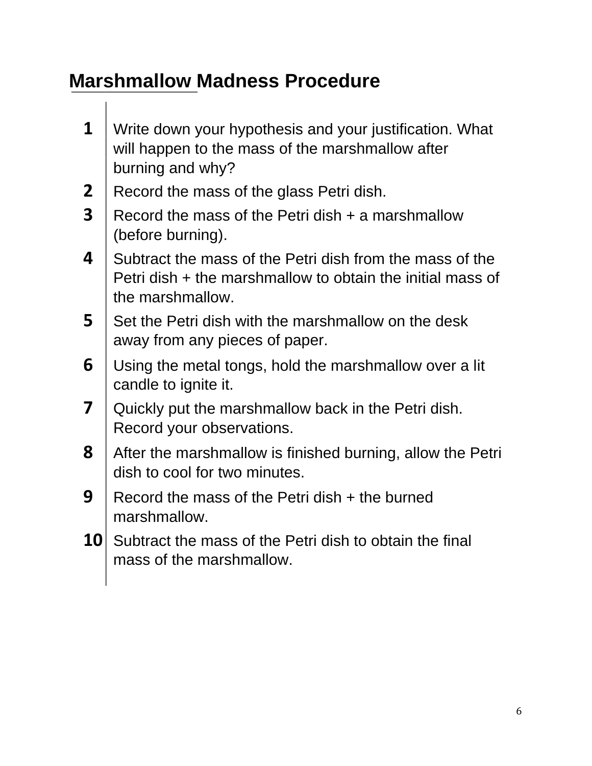# **Marshmallow Madness Procedure**

- **1** Write down your hypothesis and your justification. What will happen to the mass of the marshmallow after burning and why?
- **2** Record the mass of the glass Petri dish.
- **3** Record the mass of the Petri dish  $+$  a marshmallow (before burning).
- **4** Subtract the mass of the Petri dish from the mass of the Petri dish + the marshmallow to obtain the initial mass of the marshmallow.
- **5** Set the Petri dish with the marshmallow on the desk away from any pieces of paper.
- **6** Using the metal tongs, hold the marshmallow over a lit candle to ignite it.
- **7** Quickly put the marshmallow back in the Petri dish. Record your observations.
- **8** After the marshmallow is finished burning, allow the Petri dish to cool for two minutes.
- **9** Record the mass of the Petri dish + the burned marshmallow.
- **10** Subtract the mass of the Petri dish to obtain the final mass of the marshmallow.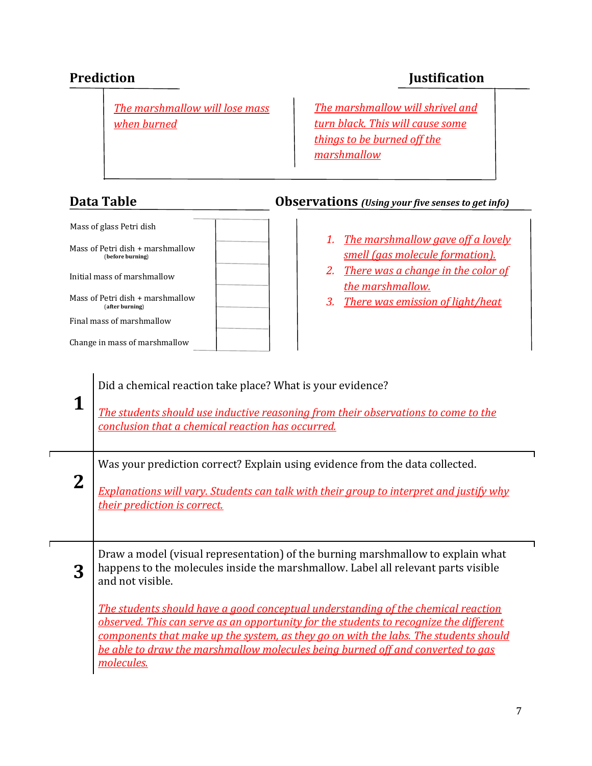*The marshmallow will lose mass when burned*

## Mass of glass Petri dish Mass of Petri dish + marshmallow (**before burning**) Initial mass of marshmallow Mass of Petri dish + marshmallow (**after burning**) Final mass of marshmallow Change in mass of marshmallow

## **Prediction Justification**

*The marshmallow will shrivel and turn black. This will cause some things to be burned off the marshmallow*

### **Data Table Observations** *(Using your five senses to get info)*

- *1. The marshmallow gave off a lovely smell (gas molecule formation).*
- *2. There was a change in the color of the marshmallow.*
- *3. There was emission of light/heat*

| 1 | Did a chemical reaction take place? What is your evidence?<br>The students should use inductive reasoning from their observations to come to the<br>conclusion that a chemical reaction has occurred.                                                                                                                                                                                                                                                                                                                                                                   |
|---|-------------------------------------------------------------------------------------------------------------------------------------------------------------------------------------------------------------------------------------------------------------------------------------------------------------------------------------------------------------------------------------------------------------------------------------------------------------------------------------------------------------------------------------------------------------------------|
| 2 | Was your prediction correct? Explain using evidence from the data collected.<br><b>Explanations will vary. Students can talk with their group to interpret and justify why</b><br>their prediction is correct.                                                                                                                                                                                                                                                                                                                                                          |
| 3 | Draw a model (visual representation) of the burning marshmallow to explain what<br>happens to the molecules inside the marshmallow. Label all relevant parts visible<br>and not visible.<br><u>The students should have a good conceptual understanding of the chemical reaction</u><br>observed. This can serve as an opportunity for the students to recognize the different<br>components that make up the system, as they go on with the labs. The students should<br>be able to draw the marshmallow molecules being burned off and converted to gas<br>molecules. |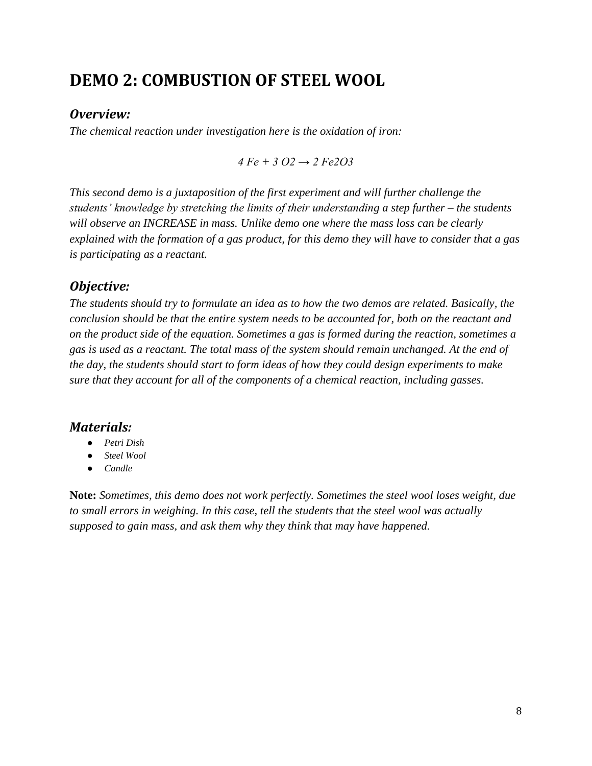# **DEMO 2: COMBUSTION OF STEEL WOOL**

#### *Overview:*

*The chemical reaction under investigation here is the oxidation of iron:* 

*4 Fe + 3 O2 → 2 Fe2O3* 

*This second demo is a juxtaposition of the first experiment and will further challenge the students' knowledge by stretching the limits of their understanding a step further – the students will observe an INCREASE in mass. Unlike demo one where the mass loss can be clearly explained with the formation of a gas product, for this demo they will have to consider that a gas is participating as a reactant.*

#### *Objective:*

*The students should try to formulate an idea as to how the two demos are related. Basically, the conclusion should be that the entire system needs to be accounted for, both on the reactant and on the product side of the equation. Sometimes a gas is formed during the reaction, sometimes a gas is used as a reactant. The total mass of the system should remain unchanged. At the end of the day, the students should start to form ideas of how they could design experiments to make sure that they account for all of the components of a chemical reaction, including gasses.* 

#### *Materials:*

- *Petri Dish*
- *Steel Wool*
- *Candle*

**Note:** *Sometimes, this demo does not work perfectly. Sometimes the steel wool loses weight, due to small errors in weighing. In this case, tell the students that the steel wool was actually supposed to gain mass, and ask them why they think that may have happened.*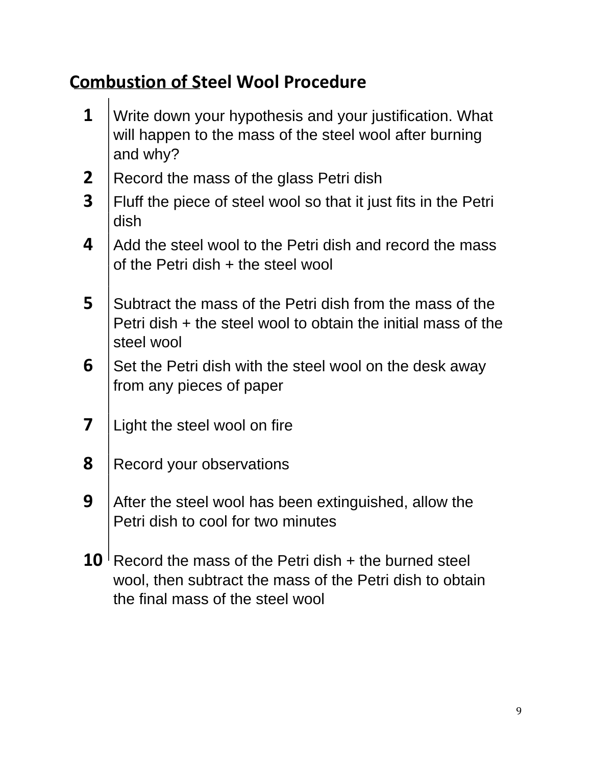# **Combustion of Steel Wool Procedure**

- **1** Write down your hypothesis and your justification. What will happen to the mass of the steel wool after burning and why?
- **2** Record the mass of the glass Petri dish
- **3** Fluff the piece of steel wool so that it just fits in the Petri dish
- **4** Add the steel wool to the Petri dish and record the mass of the Petri dish + the steel wool
- **5** Subtract the mass of the Petri dish from the mass of the Petri dish + the steel wool to obtain the initial mass of the steel wool
- **6** Set the Petri dish with the steel wool on the desk away from any pieces of paper
- **7** | Light the steel wool on fire
- **8** Record your observations
- **9** After the steel wool has been extinguished, allow the Petri dish to cool for two minutes
- **10** Record the mass of the Petri dish  $+$  the burned steel wool, then subtract the mass of the Petri dish to obtain the final mass of the steel wool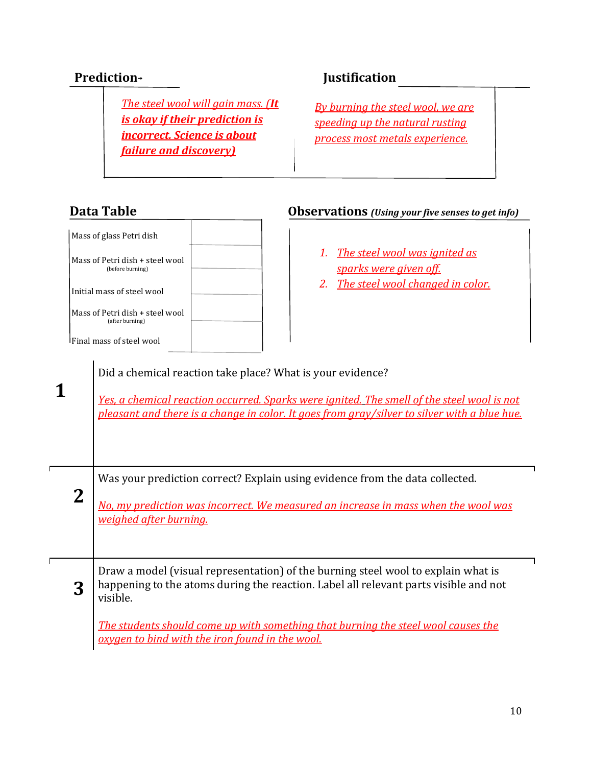*The steel wool will gain mass. (It is okay if their prediction is incorrect. Science is about failure and discovery)*

## **Prediction**→ **Justification**

*By burning the steel wool, we are speeding up the natural rusting process most metals experience.*

## **Data Table Observations** *(Using your five senses to get info)*

|                | Mass of glass Petri dish<br>The steel wool was ignited as<br>1.<br>Mass of Petri dish + steel wool<br>sparks were given off.<br>(before burning)<br>The steel wool changed in color.<br>2.<br>Initial mass of steel wool<br>Mass of Petri dish + steel wool<br>(after burning)<br><b>Final mass of steel wool</b><br>Did a chemical reaction take place? What is your evidence?<br>Yes, a chemical reaction occurred. Sparks were ignited. The smell of the steel wool is not<br>pleasant and there is a change in color. It goes from gray/silver to silver with a blue hue. |
|----------------|-------------------------------------------------------------------------------------------------------------------------------------------------------------------------------------------------------------------------------------------------------------------------------------------------------------------------------------------------------------------------------------------------------------------------------------------------------------------------------------------------------------------------------------------------------------------------------|
| $\overline{2}$ | Was your prediction correct? Explain using evidence from the data collected.<br>No, my prediction was incorrect. We measured an increase in mass when the wool was<br>weighed after burning.                                                                                                                                                                                                                                                                                                                                                                                  |
| 3              | Draw a model (visual representation) of the burning steel wool to explain what is<br>happening to the atoms during the reaction. Label all relevant parts visible and not<br>visible.<br>The students should come up with something that burning the steel wool causes the<br>oxygen to bind with the iron found in the wool.                                                                                                                                                                                                                                                 |

 $\mathbf{I}$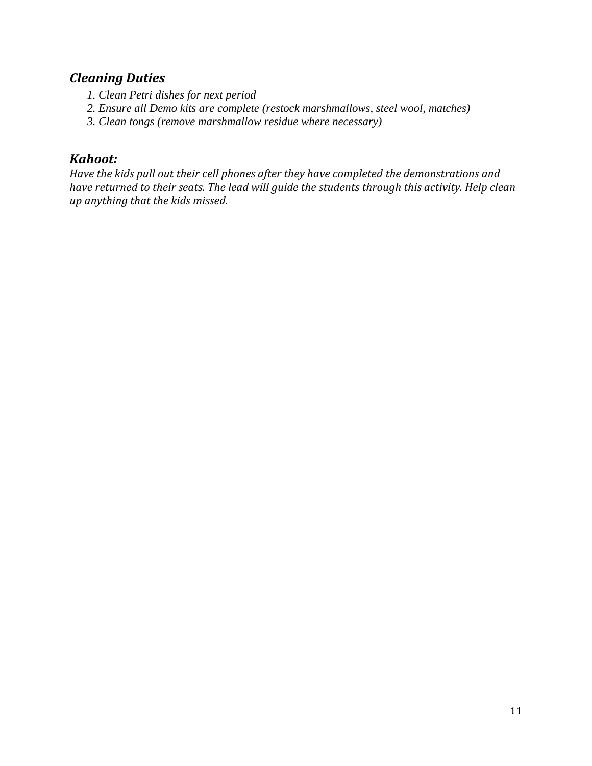## *Cleaning Duties*

- *1. Clean Petri dishes for next period*
- *2. Ensure all Demo kits are complete (restock marshmallows, steel wool, matches)*
- *3. Clean tongs (remove marshmallow residue where necessary)*

## *Kahoot:*

*Have the kids pull out their cell phones after they have completed the demonstrations and have returned to their seats. The lead will guide the students through this activity. Help clean up anything that the kids missed.*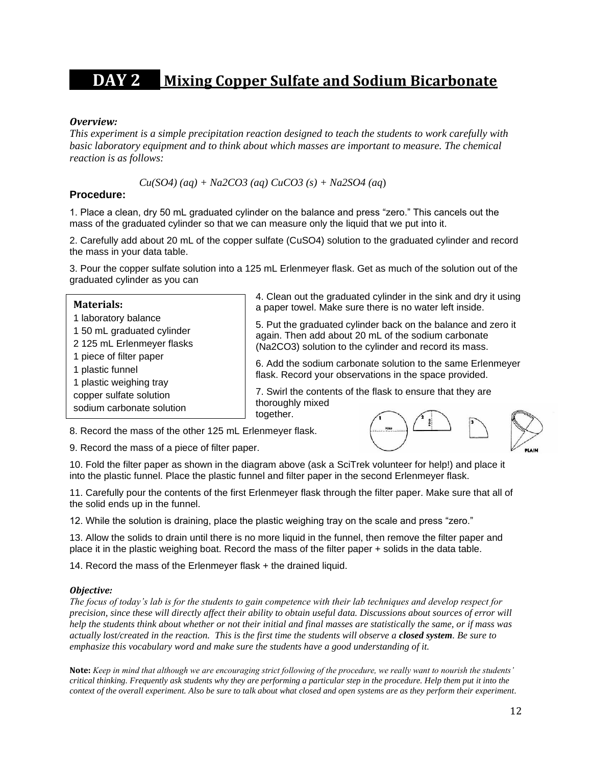# **DAY 2 Mixing Copper Sulfate and Sodium Bicarbonate**

#### *Overview:*

*This experiment is a simple precipitation reaction designed to teach the students to work carefully with basic laboratory equipment and to think about which masses are important to measure. The chemical reaction is as follows:* 

*Cu(SO4) (aq) + Na2CO3 (aq) CuCO3 (s) + Na2SO4 (aq*)

#### **Procedure:**

1. Place a clean, dry 50 mL graduated cylinder on the balance and press "zero." This cancels out the mass of the graduated cylinder so that we can measure only the liquid that we put into it.

2. Carefully add about 20 mL of the copper sulfate (CuSO4) solution to the graduated cylinder and record the mass in your data table.

3. Pour the copper sulfate solution into a 125 mL Erlenmeyer flask. Get as much of the solution out of the graduated cylinder as you can

| <b>Materials:</b>                                                                                 | 4. Clean out the graduated cylinder in the sink and dry it using<br>a paper towel. Make sure there is no water left inside.                                                         |  |  |  |
|---------------------------------------------------------------------------------------------------|-------------------------------------------------------------------------------------------------------------------------------------------------------------------------------------|--|--|--|
| 1 laboratory balance<br>1 50 mL graduated cylinder<br>2 125 mL Erlenmeyer flasks                  | 5. Put the graduated cylinder back on the balance and zero it<br>again. Then add about 20 mL of the sodium carbonate<br>(Na2CO3) solution to the cylinder and record its mass.      |  |  |  |
| 1 piece of filter paper<br>1 plastic funnel<br>1 plastic weighing tray<br>copper sulfate solution | 6. Add the sodium carbonate solution to the same Erlenmeyer<br>flask. Record your observations in the space provided.<br>7. Swirl the contents of the flask to ensure that they are |  |  |  |
| sodium carbonate solution                                                                         | thoroughly mixed<br>together.                                                                                                                                                       |  |  |  |

8. Record the mass of the other 125 mL Erlenmeyer flask.

9. Record the mass of a piece of filter paper.



10. Fold the filter paper as shown in the diagram above (ask a SciTrek volunteer for help!) and place it into the plastic funnel. Place the plastic funnel and filter paper in the second Erlenmeyer flask.

11. Carefully pour the contents of the first Erlenmeyer flask through the filter paper. Make sure that all of the solid ends up in the funnel.

12. While the solution is draining, place the plastic weighing tray on the scale and press "zero."

13. Allow the solids to drain until there is no more liquid in the funnel, then remove the filter paper and place it in the plastic weighing boat. Record the mass of the filter paper + solids in the data table.

14. Record the mass of the Erlenmeyer flask + the drained liquid.

#### *Objective:*

*The focus of today's lab is for the students to gain competence with their lab techniques and develop respect for precision, since these will directly affect their ability to obtain useful data. Discussions about sources of error will help the students think about whether or not their initial and final masses are statistically the same, or if mass was actually lost/created in the reaction. This is the first time the students will observe a closed system. Be sure to emphasize this vocabulary word and make sure the students have a good understanding of it.* 

**Note:** *Keep in mind that although we are encouraging strict following of the procedure, we really want to nourish the students' critical thinking. Frequently ask students why they are performing a particular step in the procedure. Help them put it into the context of the overall experiment. Also be sure to talk about what closed and open systems are as they perform their experiment.*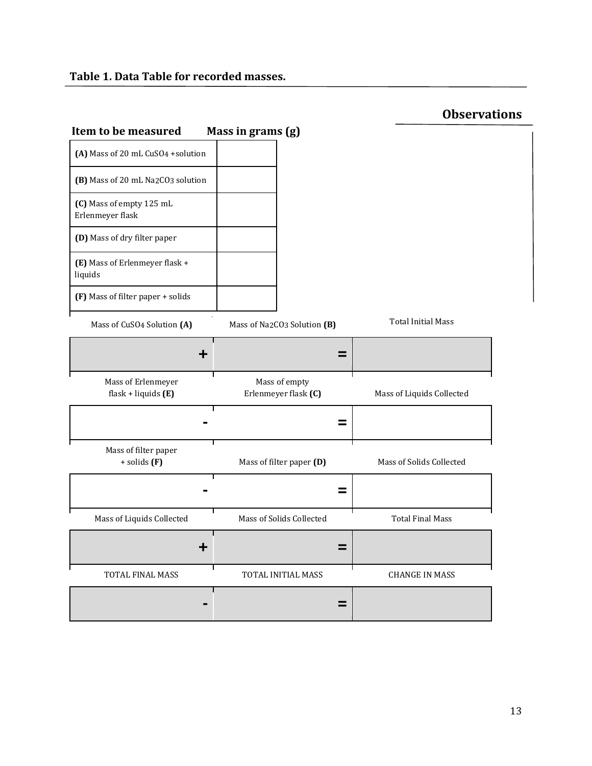### **Table 1. Data Table for recorded masses.**

|                                       | <b>Observations</b>       |
|---------------------------------------|---------------------------|
|                                       |                           |
|                                       |                           |
|                                       |                           |
|                                       |                           |
|                                       |                           |
|                                       |                           |
| Mass of Na2CO3 Solution (B)           | <b>Total Initial Mass</b> |
| =                                     |                           |
| Mass of empty<br>Erlenmeyer flask (C) | Mass of Liquids Collected |
| =                                     |                           |
| Mass of filter paper (D)              | Mass of Solids Collected  |
| =                                     |                           |
| Mass of Solids Collected              | <b>Total Final Mass</b>   |
| =                                     |                           |
| TOTAL INITIAL MASS                    | <b>CHANGE IN MASS</b>     |
| =                                     |                           |
|                                       | Mass in grams (g)         |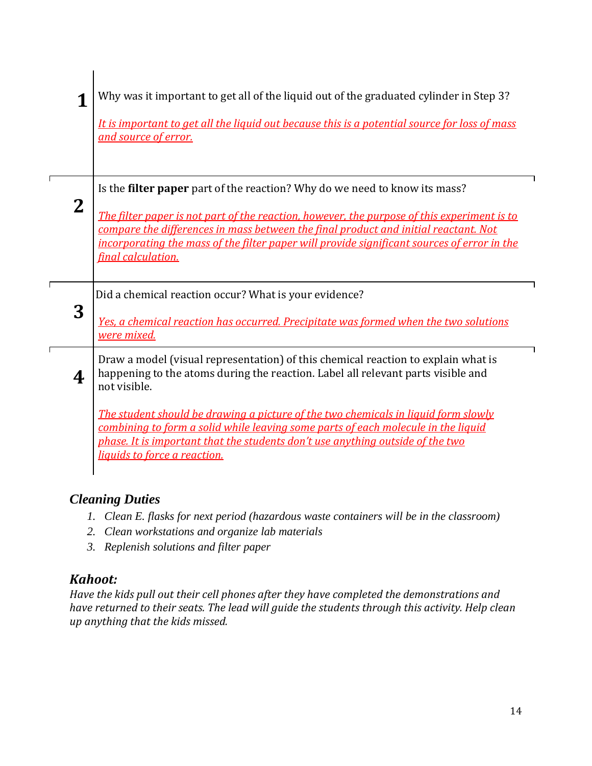|              | Why was it important to get all of the liquid out of the graduated cylinder in Step 3?<br>It is important to get all the liquid out because this is a potential source for loss of mass<br>and source of error.                                                                                                                                                                       |
|--------------|---------------------------------------------------------------------------------------------------------------------------------------------------------------------------------------------------------------------------------------------------------------------------------------------------------------------------------------------------------------------------------------|
| $\mathbf{2}$ | Is the filter paper part of the reaction? Why do we need to know its mass?<br>The filter paper is not part of the reaction, however, the purpose of this experiment is to<br>compare the differences in mass between the final product and initial reactant. Not<br>incorporating the mass of the filter paper will provide significant sources of error in the<br>final calculation. |
| 3            | Did a chemical reaction occur? What is your evidence?<br>Yes, a chemical reaction has occurred. Precipitate was formed when the two solutions<br>were mixed.                                                                                                                                                                                                                          |
| 4            | Draw a model (visual representation) of this chemical reaction to explain what is<br>happening to the atoms during the reaction. Label all relevant parts visible and<br>not visible.                                                                                                                                                                                                 |
|              | The student should be drawing a picture of the two chemicals in liquid form slowly<br>combining to form a solid while leaving some parts of each molecule in the liquid<br>phase. It is important that the students don't use anything outside of the two<br>liquids to force a reaction.                                                                                             |

## *Cleaning Duties*

- *1. Clean E. flasks for next period (hazardous waste containers will be in the classroom)*
- *2. Clean workstations and organize lab materials*
- *3. Replenish solutions and filter paper*

## *Kahoot:*

*Have the kids pull out their cell phones after they have completed the demonstrations and have returned to their seats. The lead will guide the students through this activity. Help clean up anything that the kids missed.*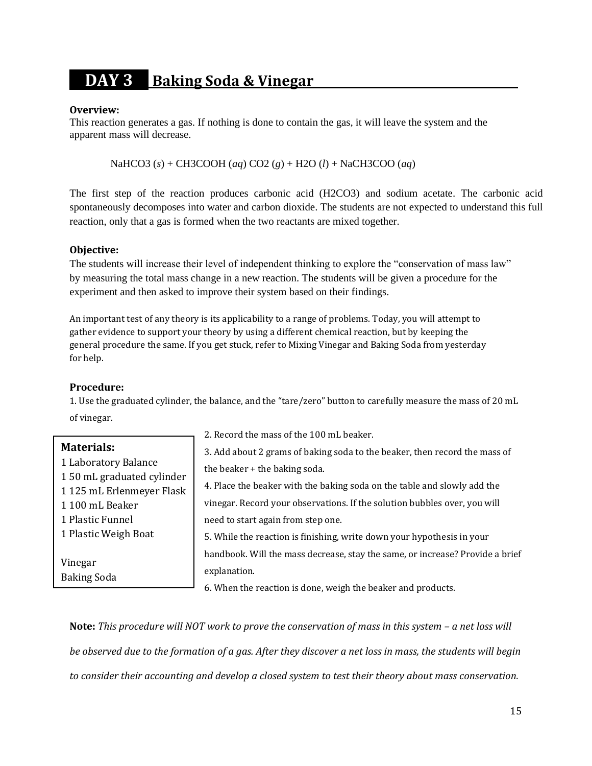# **DAY 3 Baking Soda & Vinegar .**

#### **Overview:**

This reaction generates a gas. If nothing is done to contain the gas, it will leave the system and the apparent mass will decrease.

NaHCO3 (*s*) + CH3COOH (*aq*) CO2 (*g*) + H2O (*l*) + NaCH3COO (*aq*)

The first step of the reaction produces carbonic acid (H2CO3) and sodium acetate. The carbonic acid spontaneously decomposes into water and carbon dioxide. The students are not expected to understand this full reaction, only that a gas is formed when the two reactants are mixed together.

#### **Objective:**

The students will increase their level of independent thinking to explore the "conservation of mass law" by measuring the total mass change in a new reaction. The students will be given a procedure for the experiment and then asked to improve their system based on their findings.

An important test of any theory is its applicability to a range of problems. Today, you will attempt to gather evidence to support your theory by using a different chemical reaction, but by keeping the general procedure the same. If you get stuck, refer to Mixing Vinegar and Baking Soda from yesterday for help.

#### **Procedure:**

1. Use the graduated cylinder, the balance, and the "tare/zero" button to carefully measure the mass of 20 mL of vinegar.

|                           | 2. Record the mass of the 100 mL beaker.                                      |
|---------------------------|-------------------------------------------------------------------------------|
| <b>Materials:</b>         | 3. Add about 2 grams of baking soda to the beaker, then record the mass of    |
| 1 Laboratory Balance      | the beaker + the baking soda.                                                 |
| 150 mL graduated cylinder |                                                                               |
| 1125 mL Erlenmeyer Flask  | 4. Place the beaker with the baking soda on the table and slowly add the      |
| 1 100 mL Beaker           | vinegar. Record your observations. If the solution bubbles over, you will     |
| 1 Plastic Funnel          | need to start again from step one.                                            |
| 1 Plastic Weigh Boat      | 5. While the reaction is finishing, write down your hypothesis in your        |
|                           | handbook. Will the mass decrease, stay the same, or increase? Provide a brief |
| Vinegar                   | explanation.                                                                  |
| <b>Baking Soda</b>        |                                                                               |
|                           | 6. When the reaction is done, weigh the beaker and products.                  |

**Note:** *This procedure will NOT work to prove the conservation of mass in this system - a net loss will be observed due to the formation of a gas. After they discover a net loss in mass, the students will begin to consider their accounting and develop a closed system to test their theory about mass conservation.*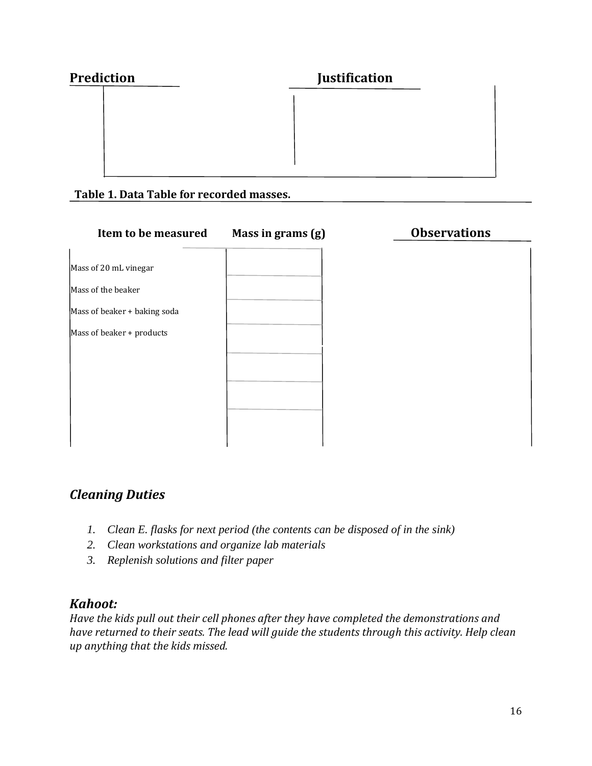| <b>Prediction</b> | <b>Justification</b> |  |
|-------------------|----------------------|--|
|                   |                      |  |
|                   |                      |  |
|                   |                      |  |
|                   |                      |  |

#### **Table 1. Data Table for recorded masses.**

| Item to be measured          | Mass in grams (g) | <b>Observations</b> |
|------------------------------|-------------------|---------------------|
|                              |                   |                     |
| Mass of 20 mL vinegar        |                   |                     |
| Mass of the beaker           |                   |                     |
| Mass of beaker + baking soda |                   |                     |
| Mass of beaker + products    |                   |                     |
|                              |                   |                     |
|                              |                   |                     |
|                              |                   |                     |
|                              |                   |                     |
|                              |                   |                     |
|                              |                   |                     |

## *Cleaning Duties*

- *1. Clean E. flasks for next period (the contents can be disposed of in the sink)*
- *2. Clean workstations and organize lab materials*
- *3. Replenish solutions and filter paper*

## *Kahoot:*

*Have the kids pull out their cell phones after they have completed the demonstrations and have returned to their seats. The lead will guide the students through this activity. Help clean up anything that the kids missed.*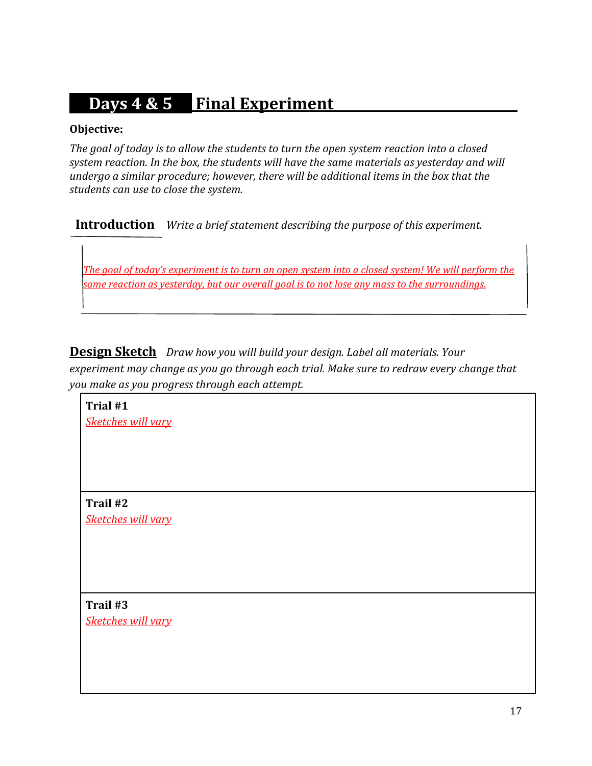# **Days 4 & 5 Final Experiment .**

#### **Objective:**

*The goal of today is to allow the students to turn the open system reaction into a closed system reaction. In the box, the students will have the same materials as yesterday and will undergo a similar procedure; however, there will be additional items in the box that the students can use to close the system.*

**Introduction** *Write a brief statement describing the purpose of this experiment.*

*The goal of today's experiment is to turn an open system into a closed system! We will perform the same reaction as yesterday, but our overall goal is to not lose any mass to the surroundings.*

**Design Sketch** *Draw how you will build your design. Label all materials. Your experiment may change as you go through each trial. Make sure to redraw every change that you make as you progress through each attempt.*

**Trial #1** *Sketches will vary*

**Trail #2** *Sketches will vary*

**Trail #3** *Sketches will vary*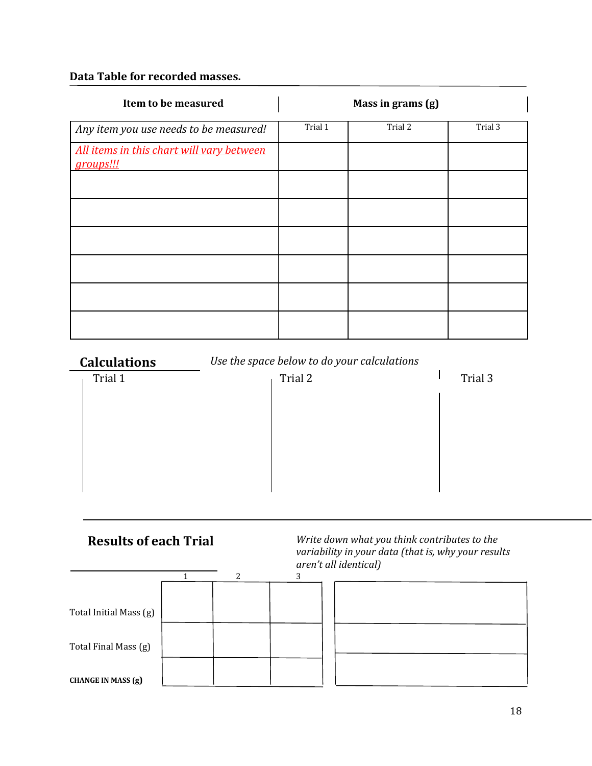#### **Data Table for recorded masses.**

| Item to be measured                                    |         | Mass in grams (g) |         |
|--------------------------------------------------------|---------|-------------------|---------|
| Any item you use needs to be measured!                 | Trial 1 | Trial 2           | Trial 3 |
| All items in this chart will vary between<br>groups!!! |         |                   |         |
|                                                        |         |                   |         |
|                                                        |         |                   |         |
|                                                        |         |                   |         |
|                                                        |         |                   |         |
|                                                        |         |                   |         |
|                                                        |         |                   |         |

## **Calculations** *Use the space below to do your calculations*

| Trial 1 | Trial 2 | Trial 3 |
|---------|---------|---------|
|         |         |         |
|         |         |         |
|         |         |         |
|         |         |         |
|         |         |         |